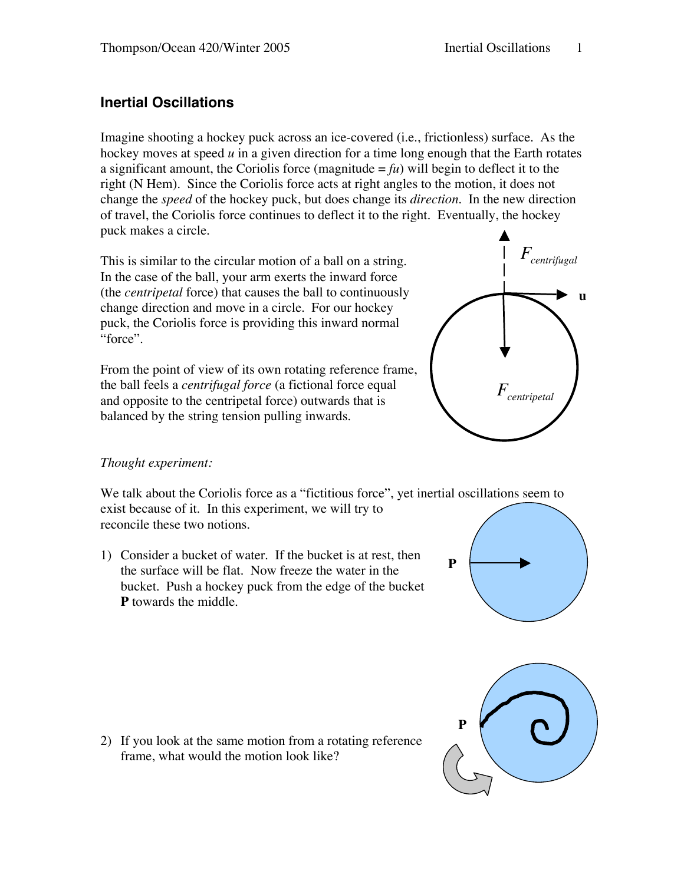# **Inertial Oscillations**

Imagine shooting a hockey puck across an ice-covered (i.e., frictionless) surface. As the hockey moves at speed *u* in a given direction for a time long enough that the Earth rotates a significant amount, the Coriolis force (magnitude  $= fu$ ) will begin to deflect it to the right (N Hem). Since the Coriolis force acts at right angles to the motion, it does not change the *speed* of the hockey puck, but does change its *direction*. In the new direction of travel, the Coriolis force continues to deflect it to the right. Eventually, the hockey puck makes a circle.

This is similar to the circular motion of a ball on a string. In the case of the ball, your arm exerts the inward force (the *centripetal* force) that causes the ball to continuously change direction and move in a circle. For our hockey puck, the Coriolis force is providing this inward normal "force".

From the point of view of its own rotating reference frame, the ball feels a *centrifugal force* (a fictional force equal and opposite to the centripetal force) outwards that is balanced by the string tension pulling inwards.



## *Thought experiment:*

We talk about the Coriolis force as a "fictitious force", yet inertial oscillations seem to exist because of it. In this experiment, we will try to reconcile these two notions.

1) Consider a bucket of water. If the bucket is at rest, then the surface will be flat. Now freeze the water in the bucket. Push a hockey puck from the edge of the bucket **P** towards the middle.

2) If you look at the same motion from a rotating reference frame, what would the motion look like?



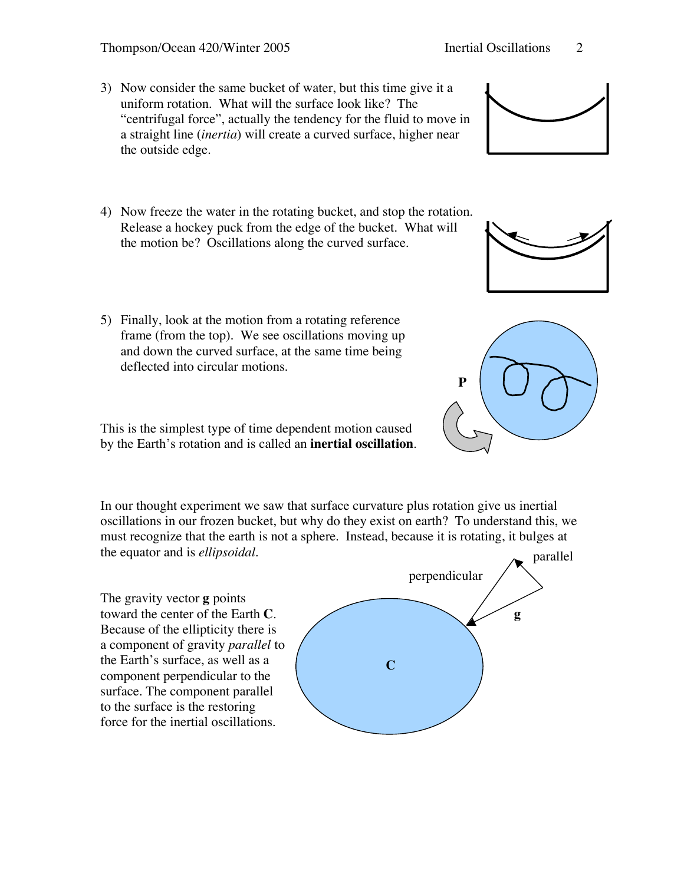#### Thompson/Ocean 420/Winter 2005 Inertial Oscillations 2

- 3) Now consider the same bucket of water, but this time give it a uniform rotation. What will the surface look like? The "centrifugal force", actually the tendency for the fluid to move in a straight line (*inertia*) will create a curved surface, higher near the outside edge.
- 4) Now freeze the water in the rotating bucket, and stop the rotation. Release a hockey puck from the edge of the bucket. What will the motion be? Oscillations along the curved surface.
- 5) Finally, look at the motion from a rotating reference frame (from the top). We see oscillations moving up and down the curved surface, at the same time being deflected into circular motions.

This is the simplest type of time dependent motion caused by the Earth's rotation and is called an **inertial oscillation**.

In our thought experiment we saw that surface curvature plus rotation give us inertial oscillations in our frozen bucket, but why do they exist on earth? To understand this, we must recognize that the earth is not a sphere. Instead, because it is rotating, it bulges at the equator and is *ellipsoidal*.

The gravity vector **g** points toward the center of the Earth **C**. Because of the ellipticity there is a component of gravity *parallel* to the Earth's surface, as well as a component perpendicular to the surface. The component parallel to the surface is the restoring force for the inertial oscillations.





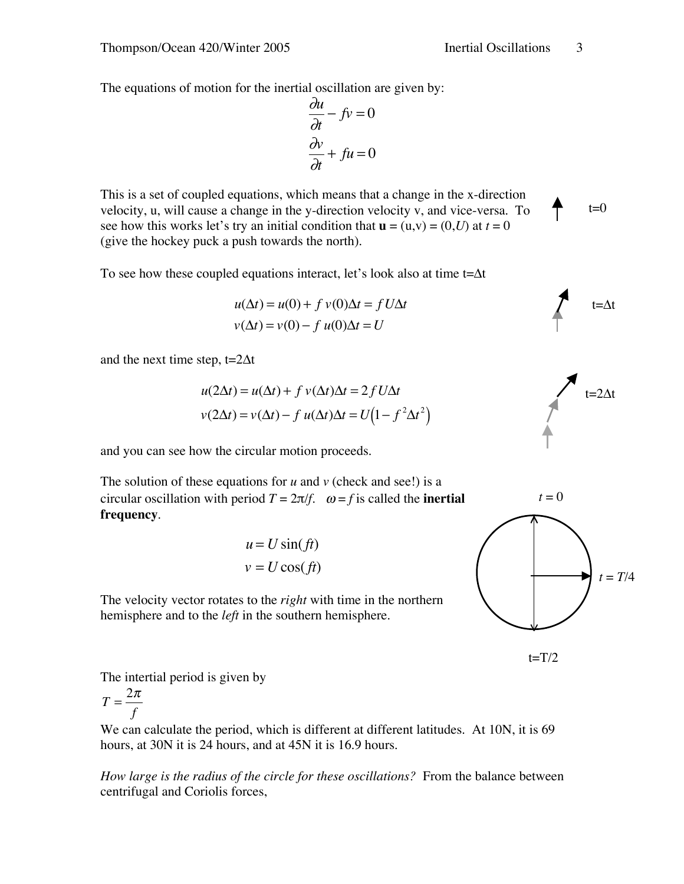The equations of motion for the inertial oscillation are given by:

$$
\frac{\partial u}{\partial t} - fv = 0
$$

$$
\frac{\partial v}{\partial t} + fu = 0
$$

This is a set of coupled equations, which means that a change in the x-direction velocity, u, will cause a change in the y-direction velocity v, and vice-versa. To see how this works let's try an initial condition that  $\mathbf{u} = (u,v) = (0,U)$  at  $t = 0$ (give the hockey puck a push towards the north).

To see how these coupled equations interact, let's look also at time  $t = \Delta t$ 

$$
u(\Delta t) = u(0) + f v(0)\Delta t = f U \Delta t
$$
  

$$
v(\Delta t) = v(0) - f u(0)\Delta t = U
$$

and the next time step,  $t=2\Delta t$ 

$$
u(2\Delta t) = u(\Delta t) + f v(\Delta t) \Delta t = 2f U \Delta t
$$

$$
v(2\Delta t) = v(\Delta t) - f u(\Delta t) \Delta t = U(1 - f^2 \Delta t^2)
$$

and you can see how the circular motion proceeds.

The solution of these equations for  $u$  and  $v$  (check and see!) is a circular oscillation with period  $T = 2\pi/f$ .  $\omega = f$  is called the **inertial frequency**.

$$
u = U \sin(ft)
$$

$$
v = U \cos(ft)
$$

The velocity vector rotates to the *right* with time in the northern hemisphere and to the *left* in the southern hemisphere.



 $t=T/2$ 

The intertial period is given by

$$
T = \frac{2\pi}{f}
$$

We can calculate the period, which is different at different latitudes. At 10N, it is 69 hours, at 30N it is 24 hours, and at 45N it is 16.9 hours.

*How large is the radius of the circle for these oscillations?* From the balance between centrifugal and Coriolis forces,



 $t = 0$ 

 $t=0$ 

 $t = \Delta t$ 

 $t = T/4$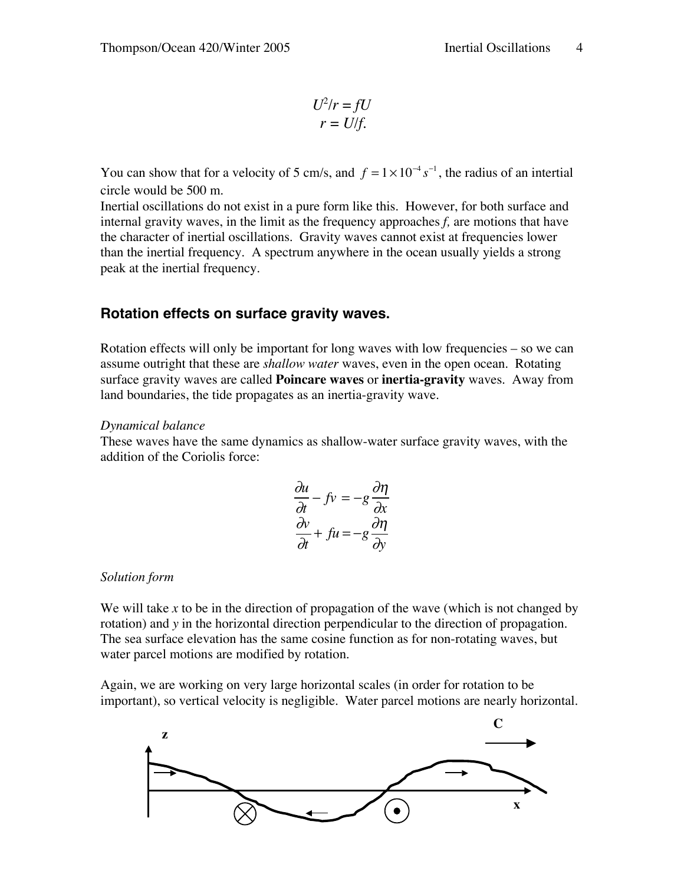$$
U^2/r = fU
$$
  

$$
r = U/f.
$$

You can show that for a velocity of 5 cm/s, and  $f = 1 \times 10^{-4} s^{-1}$ , the radius of an intertial circle would be 500 m.

Inertial oscillations do not exist in a pure form like this. However, for both surface and internal gravity waves, in the limit as the frequency approaches *f,* are motions that have the character of inertial oscillations. Gravity waves cannot exist at frequencies lower than the inertial frequency. A spectrum anywhere in the ocean usually yields a strong peak at the inertial frequency.

## **Rotation effects on surface gravity waves.**

Rotation effects will only be important for long waves with low frequencies – so we can assume outright that these are *shallow water* waves, even in the open ocean. Rotating surface gravity waves are called **Poincare waves** or **inertia-gravity** waves. Away from land boundaries, the tide propagates as an inertia-gravity wave.

#### *Dynamical balance*

These waves have the same dynamics as shallow-water surface gravity waves, with the addition of the Coriolis force:

$$
\frac{\partial u}{\partial t} - fv = -g \frac{\partial \eta}{\partial x}
$$

$$
\frac{\partial v}{\partial t} + fu = -g \frac{\partial \eta}{\partial y}
$$

### *Solution form*

We will take x to be in the direction of propagation of the wave (which is not changed by rotation) and *y* in the horizontal direction perpendicular to the direction of propagation. The sea surface elevation has the same cosine function as for non-rotating waves, but water parcel motions are modified by rotation.

Again, we are working on very large horizontal scales (in order for rotation to be important), so vertical velocity is negligible. Water parcel motions are nearly horizontal.

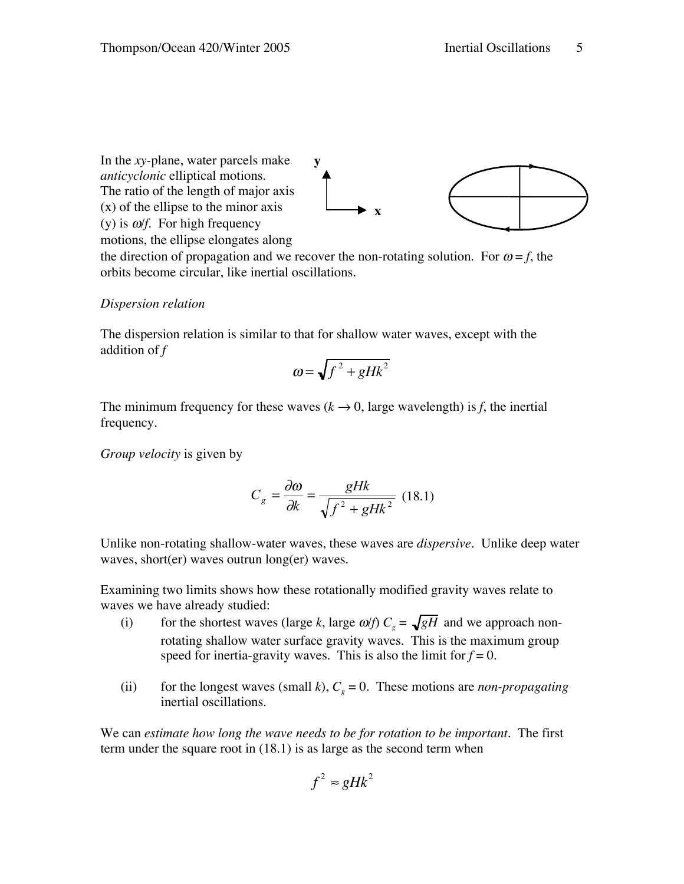In the *xy*-plane, water parcels make *anticyclonic* elliptical motions. The ratio of the length of major axis (x) of the ellipse to the minor axis (y) is  $\omega f$ . For high frequency **x y**

motions, the ellipse elongates along

the direction of propagation and we recover the non-rotating solution. For  $\omega = f$ , the orbits become circular, like inertial oscillations.

#### *Dispersion relation*

The dispersion relation is similar to that for shallow water waves, except with the addition of *f*

$$
\omega = \sqrt{f^2 + gHk^2}
$$

The minimum frequency for these waves  $(k \rightarrow 0)$ , large wavelength) is *f*, the inertial frequency.

*Group velocity* is given by

$$
C_g = \frac{\partial \omega}{\partial k} = \frac{gHk}{\sqrt{f^2 + gHk^2}} \tag{18.1}
$$

Unlike non-rotating shallow-water waves, these waves are *dispersive.* Unlike deep water waves, short(er) waves outrun long(er) waves.

Examining two limits shows how these rotationally modified gravity waves relate to waves we have already studied:

- (i) for the shortest waves (large *k*, large  $\omega/f$ )  $C_g = \sqrt{gH}$  and we approach nonrotating shallow water surface gravity waves. This is the maximum group speed for inertia-gravity waves. This is also the limit for  $f = 0$ .
- (ii) for the longest waves (small *k*),  $C_g = 0$ . These motions are *non-propagating* inertial oscillations.

We can *estimate how long the wave needs to be for rotation to be important.* The first term under the square root in (18.1) is as large as the second term when

$$
f^2 \approx gHk^2
$$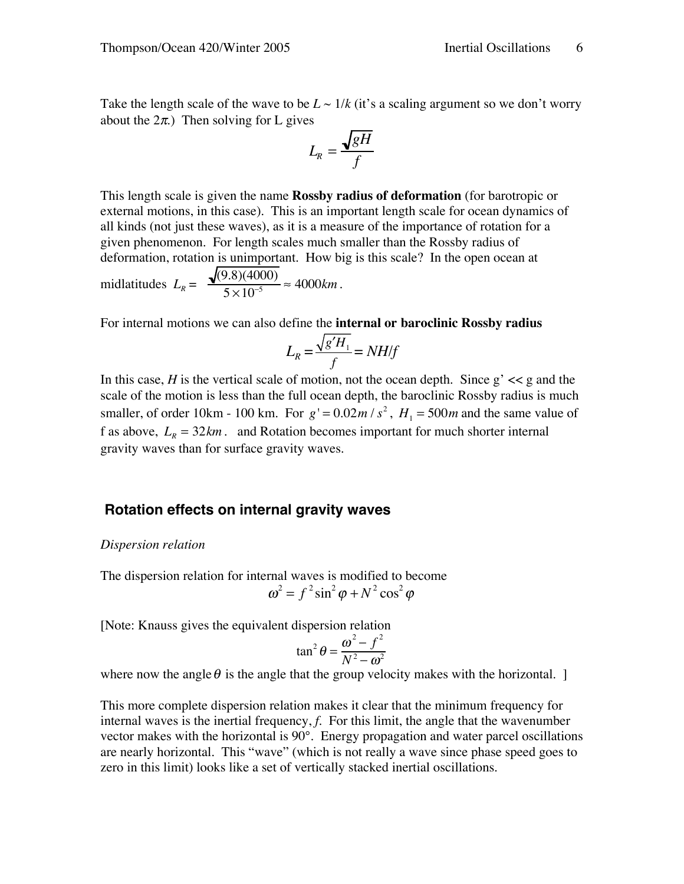Take the length scale of the wave to be  $L \sim 1/k$  (it's a scaling argument so we don't worry about the  $2\pi$ .) Then solving for L gives

$$
L_R = \frac{\sqrt{gH}}{f}
$$

This length scale is given the name **Rossby radius of deformation** (for barotropic or external motions, in this case). This is an important length scale for ocean dynamics of all kinds (not just these waves), as it is a measure of the importance of rotation for a given phenomenon. For length scales much smaller than the Rossby radius of deformation, rotation is unimportant. How big is this scale? In the open ocean at

$$
mildtitudes \ L_R = \frac{\sqrt{(9.8)(4000)}}{5 \times 10^{-5}} \approx 4000 \text{ km}.
$$

For internal motions we can also define the **internal or baroclinic Rossby radius**

$$
L_R = \frac{\sqrt{g'H_1}}{f} = NH/f
$$

In this case, *H* is the vertical scale of motion, not the ocean depth. Since  $g' \ll g$  and the scale of the motion is less than the full ocean depth, the baroclinic Rossby radius is much smaller, of order 10km - 100 km. For  $g' = 0.02m/s^2$ ,  $H_1 = 500m$  and the same value of f as above,  $L_p = 32km$ . and Rotation becomes important for much shorter internal gravity waves than for surface gravity waves.

### **Rotation effects on internal gravity waves**

#### *Dispersion relation*

The dispersion relation for internal waves is modified to become  $\omega^2 = f^2 \sin^2 \varphi + N^2 \cos^2 \varphi$ 

[Note: Knauss gives the equivalent dispersion relation

$$
\tan^2 \theta = \frac{\omega^2 - f^2}{N^2 - \omega^2}
$$

where now the angle  $\theta$  is the angle that the group velocity makes with the horizontal. ]

This more complete dispersion relation makes it clear that the minimum frequency for internal waves is the inertial frequency, *f*. For this limit, the angle that the wavenumber vector makes with the horizontal is 90°. Energy propagation and water parcel oscillations are nearly horizontal. This "wave" (which is not really a wave since phase speed goes to zero in this limit) looks like a set of vertically stacked inertial oscillations.